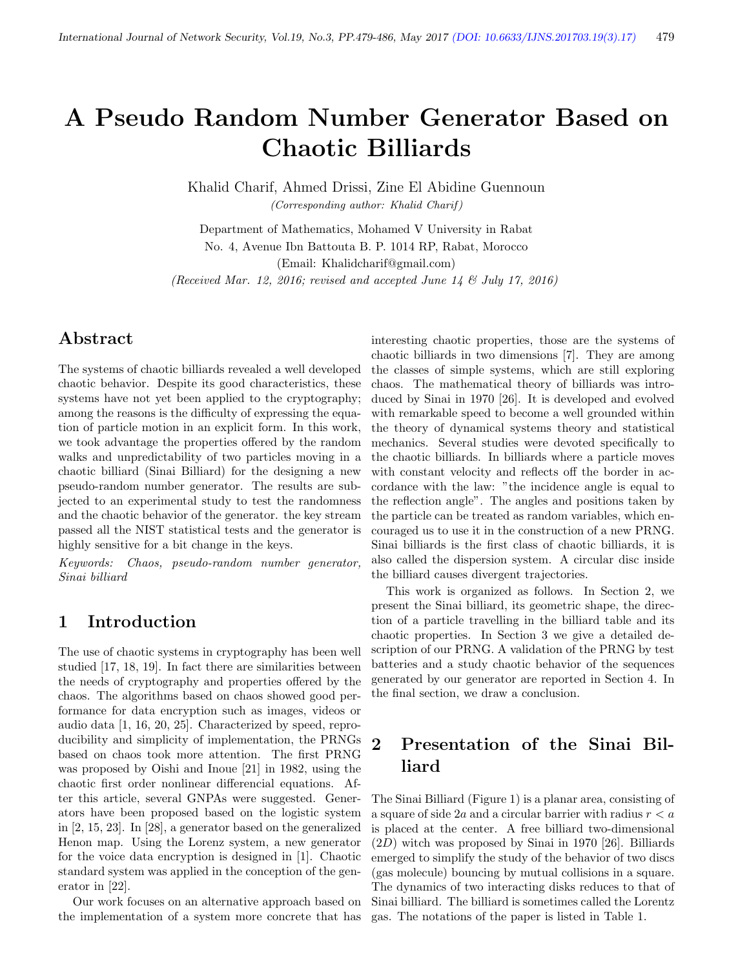# A Pseudo Random Number Generator Based on Chaotic Billiards

Khalid Charif, Ahmed Drissi, Zine El Abidine Guennoun (Corresponding author: Khalid Charif )

Department of Mathematics, Mohamed V University in Rabat No. 4, Avenue Ibn Battouta B. P. 1014 RP, Rabat, Morocco (Email: Khalidcharif@gmail.com) (Received Mar. 12, 2016; revised and accepted June 14  $\mathcal C$  July 17, 2016)

# Abstract

The systems of chaotic billiards revealed a well developed chaotic behavior. Despite its good characteristics, these systems have not yet been applied to the cryptography; among the reasons is the difficulty of expressing the equation of particle motion in an explicit form. In this work, we took advantage the properties offered by the random walks and unpredictability of two particles moving in a chaotic billiard (Sinai Billiard) for the designing a new pseudo-random number generator. The results are subjected to an experimental study to test the randomness and the chaotic behavior of the generator. the key stream passed all the NIST statistical tests and the generator is highly sensitive for a bit change in the keys.

Keywords: Chaos, pseudo-random number generator, Sinai billiard

# 1 Introduction

The use of chaotic systems in cryptography has been well studied [17, 18, 19]. In fact there are similarities between the needs of cryptography and properties offered by the chaos. The algorithms based on chaos showed good performance for data encryption such as images, videos or audio data [1, 16, 20, 25]. Characterized by speed, reproducibility and simplicity of implementation, the PRNGs based on chaos took more attention. The first PRNG was proposed by Oishi and Inoue [21] in 1982, using the chaotic first order nonlinear differencial equations. After this article, several GNPAs were suggested. Generators have been proposed based on the logistic system in [2, 15, 23]. In [28], a generator based on the generalized Henon map. Using the Lorenz system, a new generator for the voice data encryption is designed in [1]. Chaotic standard system was applied in the conception of the generator in [22].

Our work focuses on an alternative approach based on the implementation of a system more concrete that has

interesting chaotic properties, those are the systems of chaotic billiards in two dimensions [7]. They are among the classes of simple systems, which are still exploring chaos. The mathematical theory of billiards was introduced by Sinai in 1970 [26]. It is developed and evolved with remarkable speed to become a well grounded within the theory of dynamical systems theory and statistical mechanics. Several studies were devoted specifically to the chaotic billiards. In billiards where a particle moves with constant velocity and reflects off the border in accordance with the law: "the incidence angle is equal to the reflection angle". The angles and positions taken by the particle can be treated as random variables, which encouraged us to use it in the construction of a new PRNG. Sinai billiards is the first class of chaotic billiards, it is also called the dispersion system. A circular disc inside the billiard causes divergent trajectories.

This work is organized as follows. In Section 2, we present the Sinai billiard, its geometric shape, the direction of a particle travelling in the billiard table and its chaotic properties. In Section 3 we give a detailed description of our PRNG. A validation of the PRNG by test batteries and a study chaotic behavior of the sequences generated by our generator are reported in Section 4. In the final section, we draw a conclusion.

# 2 Presentation of the Sinai Billiard

The Sinai Billiard (Figure 1) is a planar area, consisting of a square of side 2a and a circular barrier with radius  $r < a$ is placed at the center. A free billiard two-dimensional  $(2D)$  witch was proposed by Sinai in 1970 [26]. Billiards emerged to simplify the study of the behavior of two discs (gas molecule) bouncing by mutual collisions in a square. The dynamics of two interacting disks reduces to that of Sinai billiard. The billiard is sometimes called the Lorentz gas. The notations of the paper is listed in Table 1.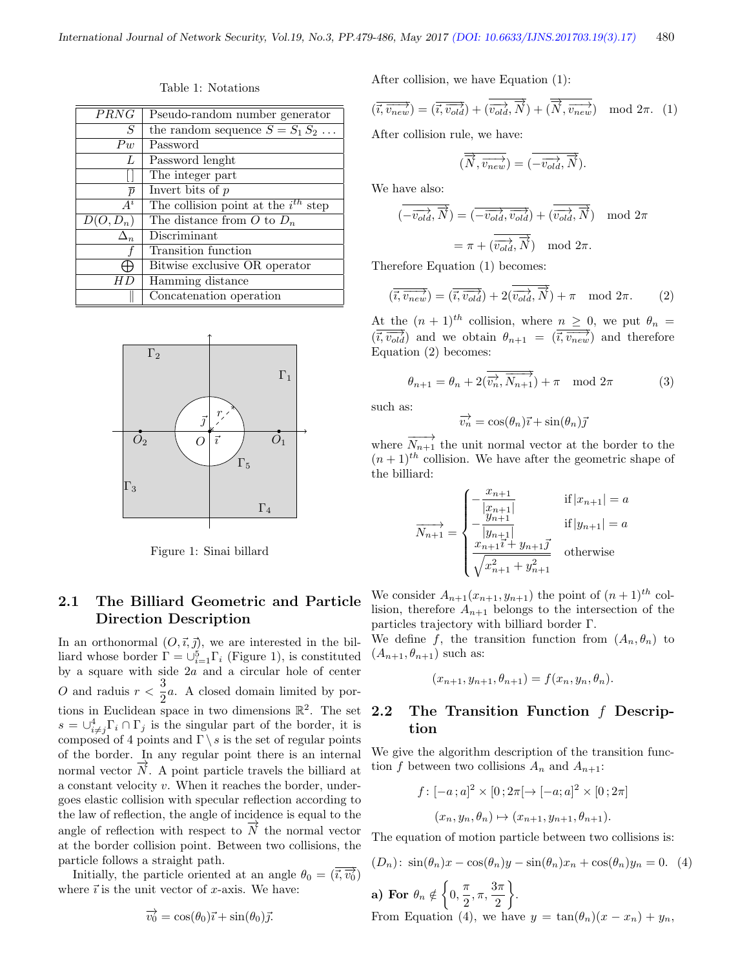| <i>PRNG</i>    | Pseudo-random number generator           |  |
|----------------|------------------------------------------|--|
| S              | the random sequence $S = S_1 S_2 \dots$  |  |
| $P_{w}$        | Password                                 |  |
| L              | Password lenght                          |  |
|                | The integer part                         |  |
| $\overline{p}$ | Invert bits of $p$                       |  |
| $A^i$          | The collision point at the $i^{th}$ step |  |
| $D(O, D_n)$    | The distance from O to $D_n$             |  |
| $\Delta_n$     | Discriminant                             |  |
|                | Transition function                      |  |
|                | Bitwise exclusive OR operator            |  |
| H L            | Hamming distance                         |  |
|                | Concatenation operation                  |  |

Table 1: Notations



Figure 1: Sinai billard

#### 2.1 The Billiard Geometric and Particle Direction Description

In an orthonormal  $(O, \vec{\iota}, \vec{\jmath})$ , we are interested in the billiard whose border  $\Gamma = \bigcup_{i=1}^{5} \Gamma_i$  (Figure 1), is constituted by a square with side 2a and a circular hole of center O and raduis  $r < \frac{3}{2}$  $\frac{3}{2}a$ . A closed domain limited by portions in Euclidean space in two dimensions  $\mathbb{R}^2$ . The set  $s = \bigcup_{i \neq j}^4 \Gamma_i \cap \Gamma_j$  is the singular part of the border, it is composed of 4 points and  $\Gamma \backslash s$  is the set of regular points of the border. In any regular point there is an internal normal vector  $N$ . A point particle travels the billiard at a constant velocity v. When it reaches the border, undergoes elastic collision with specular reflection according to the law of reflection, the angle of incidence is equal to the angle of reflection with respect to  $\overrightarrow{N}$  the normal vector at the border collision point. Between two collisions, the particle follows a straight path.

Initially, the particle oriented at an angle  $\theta_0 = (\vec{i}, \vec{v_0})$ where  $\vec{i}$  is the unit vector of x-axis. We have:

$$
\overrightarrow{v_0} = \cos(\theta_0)\overrightarrow{\imath} + \sin(\theta_0)\overrightarrow{\jmath}.
$$

After collision, we have Equation (1):

$$
(\overrightarrow{i}, \overrightarrow{v_{new}}) = (\overrightarrow{i}, \overrightarrow{v_{old}}) + (\overrightarrow{v_{old}}, \overrightarrow{N}) + (\overrightarrow{N}, \overrightarrow{v_{new}}) \mod 2\pi.
$$
 (1)

After collision rule, we have:

$$
(\overrightarrow{\overrightarrow{N},\overrightarrow{v_{new}}})=(\overrightarrow{-\overrightarrow{v_{old}},\overrightarrow{\overrightarrow{N}}}).
$$

We have also:

$$
(\overrightarrow{-v_{old}}, \overrightarrow{N}) = (\overrightarrow{-v_{old}}, \overrightarrow{v_{old}}, \overrightarrow{v_{old}}) + (\overrightarrow{v_{old}}, \overrightarrow{N}) \mod 2\pi
$$

$$
= \pi + (\overrightarrow{v_{old}}, \overrightarrow{N}) \mod 2\pi.
$$

Therefore Equation (1) becomes:

$$
(\overrightarrow{i, v_{new}}) = (\overrightarrow{i, v_{old}}) + 2(\overrightarrow{v_{old}}, \overrightarrow{N}) + \pi \mod 2\pi.
$$
 (2)

At the  $(n + 1)^{th}$  collision, where  $n \geq 0$ , we put  $\theta_n =$  $(\overrightarrow{i}, \overrightarrow{v_{old}})$  and we obtain  $\theta_{n+1} = (\overrightarrow{i}, \overrightarrow{v_{new}})$  and therefore Equation (2) becomes:

$$
\theta_{n+1} = \theta_n + 2(\overrightarrow{v_n}, \overrightarrow{N_{n+1}}) + \pi \mod 2\pi
$$
 (3)

such as:

$$
\overrightarrow{v_n} = \cos(\theta_n)\overrightarrow{\imath} + \sin(\theta_n)\overrightarrow{\jmath}
$$

where  $\overrightarrow{N_{n+1}}$  the unit normal vector at the border to the  $(n+1)^{th}$  collision. We have after the geometric shape of the billiard:

$$
\overrightarrow{N_{n+1}} = \begin{cases}\n-\frac{x_{n+1}}{|x_{n+1}|} & \text{if } |x_{n+1}| = a \\
-\frac{y_{n+1}}{|y_{n+1}|} & \text{if } |y_{n+1}| = a \\
\frac{x_{n+1}i + y_{n+1}j}{\sqrt{x_{n+1}^2 + y_{n+1}^2}} & \text{otherwise}\n\end{cases}
$$

We consider  $A_{n+1}(x_{n+1}, y_{n+1})$  the point of  $(n+1)$ <sup>th</sup> collision, therefore  $A_{n+1}$  belongs to the intersection of the particles trajectory with billiard border Γ.

We define f, the transition function from  $(A_n, \theta_n)$  to  $(A_{n+1}, \theta_{n+1})$  such as:

$$
(x_{n+1}, y_{n+1}, \theta_{n+1}) = f(x_n, y_n, \theta_n).
$$

#### 2.2 The Transition Function f Description

We give the algorithm description of the transition function f between two collisions  $A_n$  and  $A_{n+1}$ :

$$
f: [-a; a]^2 \times [0; 2\pi [\to [-a; a]^2 \times [0; 2\pi]
$$

$$
(x_n, y_n, \theta_n) \mapsto (x_{n+1}, y_{n+1}, \theta_{n+1}).
$$

The equation of motion particle between two collisions is:

$$
(D_n): \sin(\theta_n)x - \cos(\theta_n)y - \sin(\theta_n)x_n + \cos(\theta_n)y_n = 0. \quad (4)
$$
\n**a) For**  $\theta_n \notin \left\{0, \frac{\pi}{2}, \pi, \frac{3\pi}{2}\right\}.$ 

\nFrom Equation (4), we have  $y = \tan(\theta_n)(x - x_n) + y_n$ ,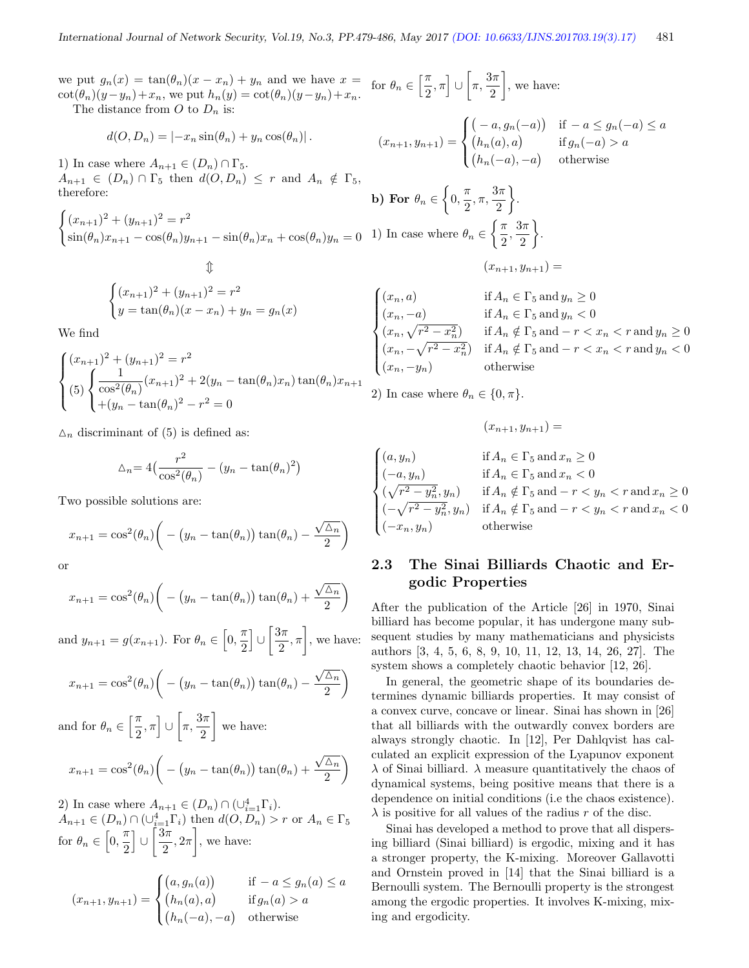$\mathbf{b}$ )

we put  $g_n(x) = \tan(\theta_n)(x - x_n) + y_n$  and we have  $x =$ we put  $g_n(x) = \tan(\theta_n)(x - x_n) + y_n$  and we have  $x = \cot(\theta_n)(y - y_n) + x_n$ , we put  $h_n(y) = \cot(\theta_n)(y - y_n) + x_n$ .  $\left[\frac{\pi}{2},\pi\right]\cup\left[\pi,\frac{3\pi}{2}\right]$ 2 , we have:

The distance from O to  $D_n$  is:

1) In case where 
$$
A_{n+1} \in (D_n) \cap \Gamma_5
$$
.  
\n $A_{n+1} \in (D_n) \cap \Gamma_5$  then  $d(O, D_n) \leq r$  and  $A_n \notin \Gamma_5$ ,  
\ntherefore:

 $d(O, D_n) = |-x_n \sin(\theta_n) + y_n \cos(\theta_n)|$ .

$$
\begin{cases} (x_{n+1})^2 + (y_{n+1})^2 = r^2 & (2 \leq r \leq 1) \\ \sin(\theta_n)x_{n+1} - \cos(\theta_n)y_{n+1} - \sin(\theta_n)x_n + \cos(\theta_n)y_n = 0 & (1) \text{ In case where } \theta_n \in \left\{ \frac{\pi}{2}, \frac{\pi}{2} \right\} \end{cases}
$$

$$
\begin{cases}\n(x_{n+1})^2 + (y_{n+1})^2 = r^2 \\
y = \tan(\theta_n)(x - x_n) + y_n = g_n(x)\n\end{cases}
$$

 $\uparrow$ 

We find

$$
\begin{cases}\n(x_{n+1})^2 + (y_{n+1})^2 = r^2 \\
(5) \begin{cases}\n\frac{1}{\cos^2(\theta_n)} (x_{n+1})^2 + 2(y_n - \tan(\theta_n)x_n) \tan(\theta_n)x_{n+1} \\
+(y_n - \tan(\theta_n)^2 - r^2) = 0\n\end{cases}\n\end{cases}
$$

 $\Delta_n$  discriminant of (5) is defined as:

$$
\Delta_n = 4\left(\frac{r^2}{\cos^2(\theta_n)} - (y_n - \tan(\theta_n)^2)\right)
$$

Two possible solutions are:

$$
x_{n+1} = \cos^2(\theta_n) \bigg( - \big( y_n - \tan(\theta_n) \big) \tan(\theta_n) - \frac{\sqrt{\Delta_n}}{2} \bigg)
$$

or

$$
x_{n+1} = \cos^{2}(\theta_{n}) \bigg( - (y_{n} - \tan(\theta_{n})) \tan(\theta_{n}) + \frac{\sqrt{\Delta_{n}}}{2} \bigg)
$$

and  $y_{n+1} = g(x_{n+1})$ . For  $\theta_n \in \left[0, \frac{\pi}{2}\right]$ 2  $\bigcup \bigcup \frac{3\pi}{2}$  $\left\{\frac{3\pi}{2}, \pi\right\}$ , we have:

$$
x_{n+1} = \cos^2(\theta_n) \bigg( - (y_n - \tan(\theta_n)) \tan(\theta_n) - \frac{\sqrt{\Delta_n}}{2} \bigg)
$$

and for  $\theta_n \in \left[\frac{\pi}{2}\right]$  $\left[\frac{\pi}{2},\pi\right]\cup\left[\pi,\frac{3\pi}{2}\right]$ 2 we have:

$$
x_{n+1} = \cos^{2}(\theta_{n}) \bigg( - (y_{n} - \tan(\theta_{n})) \tan(\theta_{n}) + \frac{\sqrt{\Delta_{n}}}{2} \bigg)
$$

2) In case where  $A_{n+1} \in (D_n) \cap (\cup_{i=1}^4 \Gamma_i)$ .  $A_{n+1} \in (D_n) \cap (\cup_{i=1}^4 \Gamma_i)$  then  $d(O, D_n) > r$  or  $A_n \in \Gamma_5$ for  $\theta_n \in \left[0, \frac{\pi}{2}\right]$ 2  $\bigcup$   $\bigcup \frac{3\pi}{2}$  $\left\{\frac{3\pi}{2}, 2\pi\right\},\$  we have:

$$
(x_{n+1}, y_{n+1}) = \begin{cases} (a, g_n(a)) & \text{if } -a \le g_n(a) \le a \\ (h_n(a), a) & \text{if } g_n(a) > a \\ (h_n(-a), -a) & \text{otherwise} \end{cases}
$$

$$
(x_{n+1}, y_{n+1}) = \begin{cases} (-a, g_n(-a)) & \text{if } -a \le g_n(-a) \le a \\ (h_n(a), a) & \text{if } g_n(-a) > a \\ (h_n(-a), -a) & \text{otherwise} \end{cases}
$$
  
\n**) For**  $\theta_n \in \left\{ 0, \frac{\pi}{2}, \pi, \frac{3\pi}{2} \right\}.$   
\n**) In case where**  $\theta_n \in \left\{ \frac{\pi}{2}, \frac{3\pi}{2} \right\}.$   
\n
$$
(x_{n+1}, y_{n+1}) =
$$

$$
\begin{cases}\n(x_n, a) & \text{if } A_n \in \Gamma_5 \text{ and } y_n \ge 0 \\
(x_n, -a) & \text{if } A_n \in \Gamma_5 \text{ and } y_n < 0 \\
(x_n, \sqrt{r^2 - x_n^2}) & \text{if } A_n \notin \Gamma_5 \text{ and } -r < x_n < r \text{ and } y_n \ge 0 \\
(x_n, -\sqrt{r^2 - x_n^2}) & \text{if } A_n \notin \Gamma_5 \text{ and } -r < x_n < r \text{ and } y_n < 0 \\
(x_n, -y_n) & \text{otherwise}\n\end{cases}
$$

2) In case where  $\theta_n \in \{0, \pi\}.$ 

$$
(x_{n+1}, y_{n+1}) =
$$

$$
\begin{cases}\n(a, y_n) & \text{if } A_n \in \Gamma_5 \text{ and } x_n \ge 0 \\
(-a, y_n) & \text{if } A_n \in \Gamma_5 \text{ and } x_n < 0 \\
(\sqrt{r^2 - y_n^2}, y_n) & \text{if } A_n \notin \Gamma_5 \text{ and } -r < y_n < r \text{ and } x_n \ge 0 \\
(-\sqrt{r^2 - y_n^2}, y_n) & \text{if } A_n \notin \Gamma_5 \text{ and } -r < y_n < r \text{ and } x_n < 0 \\
(-x_n, y_n) & \text{otherwise}\n\end{cases}
$$

### 2.3 The Sinai Billiards Chaotic and Ergodic Properties

After the publication of the Article [26] in 1970, Sinai billiard has become popular, it has undergone many subsequent studies by many mathematicians and physicists authors [3, 4, 5, 6, 8, 9, 10, 11, 12, 13, 14, 26, 27]. The system shows a completely chaotic behavior [12, 26].

In general, the geometric shape of its boundaries determines dynamic billiards properties. It may consist of a convex curve, concave or linear. Sinai has shown in [26] that all billiards with the outwardly convex borders are always strongly chaotic. In [12], Per Dahlqvist has calculated an explicit expression of the Lyapunov exponent  $\lambda$  of Sinai billiard.  $\lambda$  measure quantitatively the chaos of dynamical systems, being positive means that there is a dependence on initial conditions (i.e the chaos existence).  $\lambda$  is positive for all values of the radius r of the disc.

Sinai has developed a method to prove that all dispersing billiard (Sinai billiard) is ergodic, mixing and it has a stronger property, the K-mixing. Moreover Gallavotti and Ornstein proved in [14] that the Sinai billiard is a Bernoulli system. The Bernoulli property is the strongest among the ergodic properties. It involves K-mixing, mixing and ergodicity.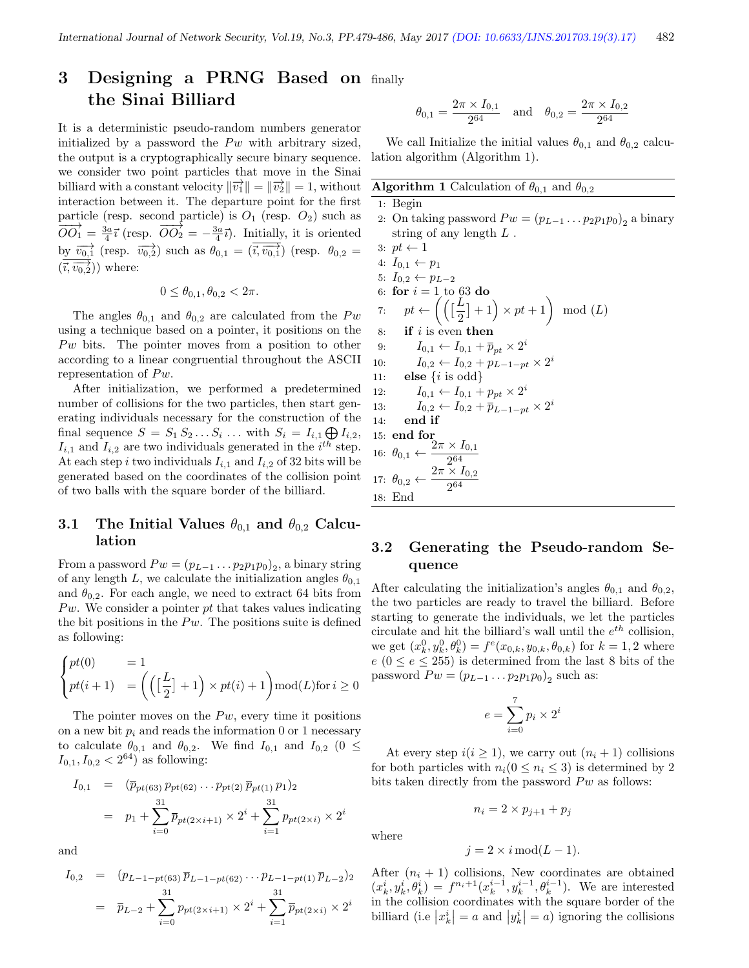# 3 Designing a PRNG Based on finally the Sinai Billiard

It is a deterministic pseudo-random numbers generator initialized by a password the  $P w$  with arbitrary sized, the output is a cryptographically secure binary sequence. we consider two point particles that move in the Sinai billiard with a constant velocity  $\|\vec{v_1}\| = \|\vec{v_2}\| = 1$ , without interaction between it. The departure point for the first particle (resp. second particle) is  $O_1$  (resp.  $O_2$ ) such as  $\overline{OO_1} = \frac{3a}{4} \overline{i}$  (resp.  $\overline{OO_2} = -\frac{3a}{4} \overline{i}$ ). Initially, it is oriented by  $\overrightarrow{v_{0,1}}$  (resp.  $\overrightarrow{v_{0,2}}$ ) such as  $\theta_{0,1} = (\overrightarrow{i}, \overrightarrow{v_{0,1}})$  (resp.  $\theta_{0,2} =$  $(\vec{i}, \vec{v_0, 2})$  where:

$$
0 \le \theta_{0,1}, \theta_{0,2} < 2\pi.
$$

The angles  $\theta_{0,1}$  and  $\theta_{0,2}$  are calculated from the Pw using a technique based on a pointer, it positions on the  $P\omega$  bits. The pointer moves from a position to other according to a linear congruential throughout the ASCII representation of  $P_{w}$ .

After initialization, we performed a predetermined number of collisions for the two particles, then start generating individuals necessary for the construction of the final sequence  $S = S_1 S_2 \dots S_i \dots$  with  $S_i = I_{i,1} \bigoplus I_{i,2}$ ,  $I_{i,1}$  and  $I_{i,2}$  are two individuals generated in the  $i^{th}$  step. At each step i two individuals  $I_{i,1}$  and  $I_{i,2}$  of 32 bits will be generated based on the coordinates of the collision point of two balls with the square border of the billiard.

#### 3.1 The Initial Values  $\theta_{0,1}$  and  $\theta_{0,2}$  Calculation

From a password  $Pw = (p_{L-1} \ldots p_2 p_1 p_0)_2$ , a binary string of any length L, we calculate the initialization angles  $\theta_{0,1}$ and  $\theta_{0,2}$ . For each angle, we need to extract 64 bits from  $P_{w}$ . We consider a pointer pt that takes values indicating the bit positions in the  $P_{w}$ . The positions suite is defined as following:

$$
\begin{cases} pt(0) & = 1 \\ pt(i+1) & = \left( \left( \left[ \frac{L}{2} \right] + 1 \right) \times pt(i) + 1 \right) \text{mod}(L) \text{for } i \ge 0 \end{cases}
$$

The pointer moves on the  $P_w$ , every time it positions on a new bit  $p_i$  and reads the information 0 or 1 necessary to calculate  $\theta_{0,1}$  and  $\theta_{0,2}$ . We find  $I_{0,1}$  and  $I_{0,2}$  (0  $\leq$  $I_{0,1}, I_{0,2} < 2^{64}$  as following:

$$
I_{0,1} = (\overline{p}_{pt(63)} p_{pt(62)} \cdots p_{pt(2)} \overline{p}_{pt(1)} p_{1})_{2}
$$
  
=  $p_{1} + \sum_{i=0}^{31} \overline{p}_{pt(2 \times i+1)} \times 2^{i} + \sum_{i=1}^{31} p_{pt(2 \times i)} \times 2^{i}$ 

and

$$
I_{0,2} = (p_{L-1-pt(63)} \overline{p}_{L-1-pt(62)} \cdots p_{L-1-pt(1)} \overline{p}_{L-2})_2
$$
  
=  $\overline{p}_{L-2} + \sum_{i=0}^{31} p_{pt(2 \times i+1)} \times 2^i + \sum_{i=1}^{31} \overline{p}_{pt(2 \times i)} \times 2^i$ 

$$
\theta_{0,1} = \frac{2\pi \times I_{0,1}}{2^{64}}
$$
 and  $\theta_{0,2} = \frac{2\pi \times I_{0,2}}{2^{64}}$ 

We call Initialize the initial values  $\theta_{0,1}$  and  $\theta_{0,2}$  calculation algorithm (Algorithm 1).

**Algorithm 1** Calculation of  $\theta_{0,1}$  and  $\theta_{0,2}$ 

|     | $1:$ Begin                                                                                    |
|-----|-----------------------------------------------------------------------------------------------|
|     | 2. On taking password $Pw = (p_{L-1} \dots p_2 p_1 p_0)_2$ a binary                           |
|     | string of any length $L$ .                                                                    |
|     | 3: $pt \leftarrow 1$                                                                          |
|     | 4: $I_{0,1} \leftarrow p_1$                                                                   |
|     | 5: $I_{0,2} \leftarrow p_{L-2}$                                                               |
|     | 6: for $i = 1$ to 63 do                                                                       |
|     | 7: $pt \leftarrow \left(\left(\left[\frac{L}{2}\right]+1\right) \times pt + 1\right) \mod(L)$ |
| 8:  | $\mathbf{if}$ is even then                                                                    |
| 9:  | $I_{0,1} \leftarrow I_{0,1} + \overline{p}_{nt} \times 2^i$                                   |
| 10: | $I_{0,2} \leftarrow I_{0,2} + p_{L-1-pt} \times 2^{i}$                                        |
|     | 11: <b>else</b> $\{i \text{ is odd}\}\$                                                       |
| 12: | $I_{0,1} \leftarrow I_{0,1} + p_{pt} \times 2^{i}$                                            |
| 13: | $I_{0,2} \leftarrow I_{0,2} + \overline{p}_{L-1-pt} \times 2^i$                               |
| 14: | end if                                                                                        |
|     | $15:$ end for                                                                                 |
|     | 16: $\theta_{0,1} \leftarrow \frac{2\pi \times I_{0,1}}{2^{64}}$                              |
|     | 17: $\theta_{0,2} \leftarrow \frac{2\pi \times I_{0,2}}{2^{64}}$                              |
|     | 18: End                                                                                       |

#### 3.2 Generating the Pseudo-random Sequence

After calculating the initialization's angles  $\theta_{0,1}$  and  $\theta_{0,2}$ , the two particles are ready to travel the billiard. Before starting to generate the individuals, we let the particles circulate and hit the billiard's wall until the  $e^{th}$  collision, we get  $(x_k^0, y_k^0, \theta_k^0) = f^e(x_{0,k}, y_{0,k}, \theta_{0,k})$  for  $k = 1, 2$  where  $e (0 \le e \le 255)$  is determined from the last 8 bits of the password  $Pw = (p_{L-1} \dots p_2 p_1 p_0)_2$  such as:

$$
e = \sum_{i=0}^{7} p_i \times 2^i
$$

At every step  $i(i \geq 1)$ , we carry out  $(n_i + 1)$  collisions for both particles with  $n_i(0 \leq n_i \leq 3)$  is determined by 2 bits taken directly from the password  $P w$  as follows:

$$
n_i = 2 \times p_{j+1} + p_j
$$

$$
j = 2 \times i \mod (L-1).
$$

where

After 
$$
(n_i + 1)
$$
 collisions, New coordinates are obtained  $(x_k^i, y_k^i, \theta_k^i) = f^{n_i+1}(x_k^{i-1}, y_k^{i-1}, \theta_k^{i-1})$ . We are interested in the collision coordinates with the square border of the billiard (i.e  $|x_k^i| = a$  and  $|y_k^i| = a$ ) ignoring the collisions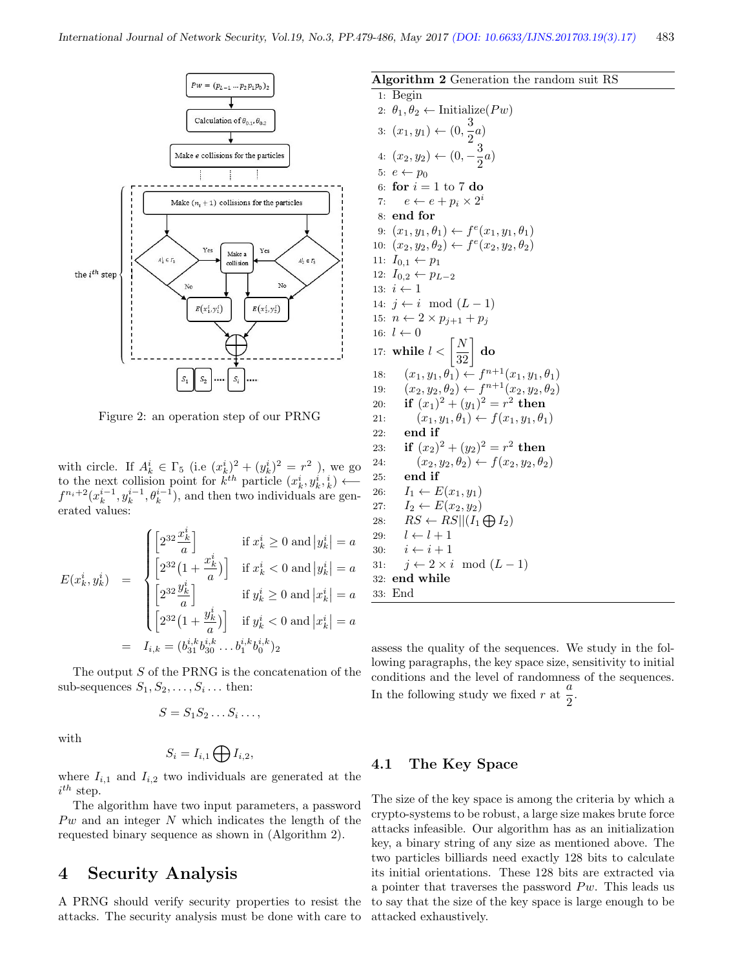

Figure 2: an operation step of our PRNG

with circle. If  $A_k^i \in \Gamma_5$  (i.e  $(x_k^i)^2 + (y_k^i)^2 = r^2$ ), we go to the next collision point for  $k^{th}$  particle  $(x_k^i, y_k^i, k) \leftarrow$  $f^{n_i+2}(x_k^{i-1}, y_k^{i-1}, \theta_k^{i-1}),$  and then two individuals are generated values:

$$
E(x_k^i, y_k^i) = \begin{cases} \left[2^{32} \frac{x_k^i}{a}\right] & \text{if } x_k^i \ge 0 \text{ and } |y_k^i| = a\\ \left[2^{32} (1 + \frac{x_k^i}{a})\right] & \text{if } x_k^i < 0 \text{ and } |y_k^i| = a\\ \left[2^{32} \frac{y_k^i}{a}\right] & \text{if } y_k^i \ge 0 \text{ and } |x_k^i| = a\\ \left[2^{32} (1 + \frac{y_k^i}{a})\right] & \text{if } y_k^i < 0 \text{ and } |x_k^i| = a\\ = I_{i,k} = (b_{31}^{i,k} b_{30}^{i,k} \dots b_1^{i,k} b_0^{i,k})_2 \end{cases}
$$

The output  $S$  of the PRNG is the concatenation of the sub-sequences  $S_1, S_2, \ldots, S_i \ldots$  then:

$$
S = S_1 S_2 \dots S_i \dots,
$$

with

$$
S_i = I_{i,1} \bigoplus I_{i,2},
$$

where  $I_{i,1}$  and  $I_{i,2}$  two individuals are generated at the  $i^{th}$  step.

The algorithm have two input parameters, a password  $P w$  and an integer N which indicates the length of the requested binary sequence as shown in (Algorithm 2).

# 4 Security Analysis

A PRNG should verify security properties to resist the attacks. The security analysis must be done with care to Algorithm 2 Generation the random suit RS 1: Begin 2:  $\theta_1, \theta_2 \leftarrow$  Initialize(*Pw*) 3:  $(x_1, y_1)$  ←  $(0, \frac{3}{2})$  $\frac{5}{2}$ <sup>a</sup>) 4:  $(x_2, y_2) \leftarrow (0, -\frac{3}{2})$  $\frac{5}{2}a)$ 5:  $e \leftarrow p_0$ 6: for  $i = 1$  to 7 do 7:  $e \leftarrow e + p_i \times 2^i$ 8: end for 9:  $(x_1, y_1, \theta_1) \leftarrow f^e(x_1, y_1, \theta_1)$ 10:  $(x_2, y_2, \theta_2) \leftarrow f^e(x_2, y_2, \theta_2)$ 11:  $I_{0,1} \leftarrow p_1$ 12:  $I_{0,2} \leftarrow p_{L-2}$ 13:  $i \leftarrow 1$ 14:  $j \leftarrow i \mod (L-1)$ 15:  $n \leftarrow 2 \times p_{i+1} + p_i$ 16:  $l \leftarrow 0$  $17: \text{ while } l < \left\lceil \frac{N}{32} \right\rceil \text{ do}$ 18:  $(x_1, y_1, \theta_1) \leftarrow f^{n+1}(x_1, y_1, \theta_1)$ 19:  $(x_2, y_2, \theta_2) \leftarrow f^{n+1}(x_2, y_2, \theta_2)$ 20: **if**  $(x_1)^2 + (y_1)^2 = r^2$  then 21:  $(x_1, y_1, \theta_1) \leftarrow f(x_1, y_1, \theta_1)$ 22: end if 23: if  $(x_2)^2 + (y_2)^2 = r^2$  then 24:  $(x_2, y_2, \theta_2) \leftarrow f(x_2, y_2, \theta_2)$ 25: end if 26:  $I_1 \leftarrow E(x_1, y_1)$ 27:  $I_2 \leftarrow E(x_2, y_2)$ 28:  $RS \leftarrow RS || (I_1 \bigoplus I_2)$ 29:  $l \leftarrow l + 1$ 30:  $i \leftarrow i + 1$ 31:  $j \leftarrow 2 \times i \mod (L-1)$ 32: end while 33: End

assess the quality of the sequences. We study in the following paragraphs, the key space size, sensitivity to initial conditions and the level of randomness of the sequences. In the following study we fixed r at  $\frac{a}{2}$  $\frac{a}{2}$ .

#### 4.1 The Key Space

The size of the key space is among the criteria by which a crypto-systems to be robust, a large size makes brute force attacks infeasible. Our algorithm has as an initialization key, a binary string of any size as mentioned above. The two particles billiards need exactly 128 bits to calculate its initial orientations. These 128 bits are extracted via a pointer that traverses the password  $P_{w}$ . This leads us to say that the size of the key space is large enough to be attacked exhaustively.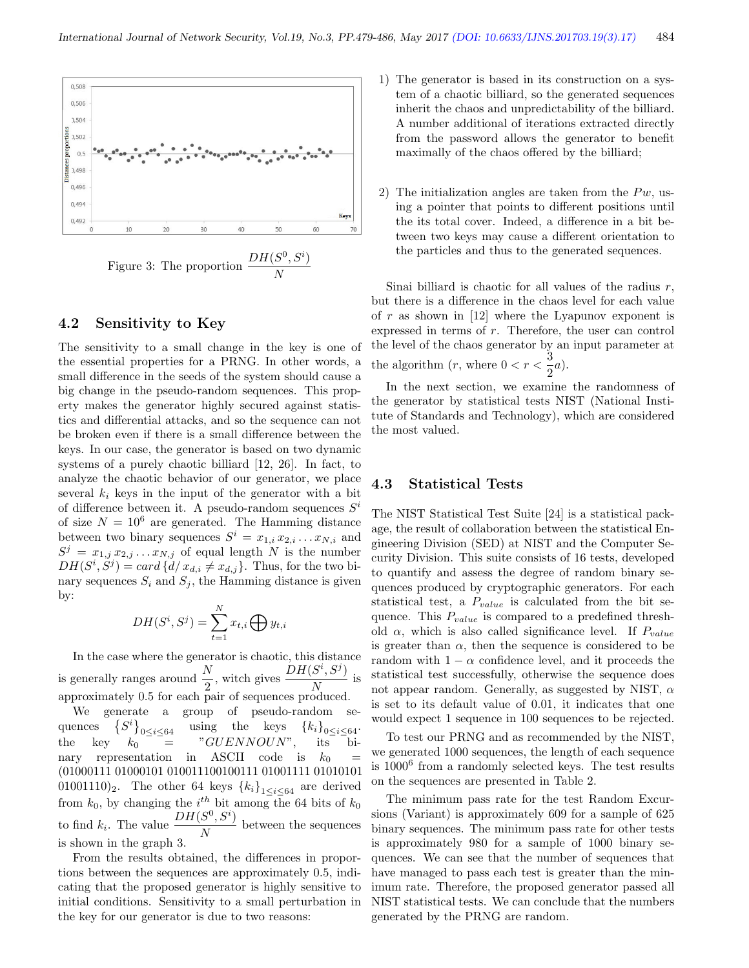

#### 4.2 Sensitivity to Key

The sensitivity to a small change in the key is one of the essential properties for a PRNG. In other words, a small difference in the seeds of the system should cause a big change in the pseudo-random sequences. This property makes the generator highly secured against statistics and differential attacks, and so the sequence can not be broken even if there is a small difference between the keys. In our case, the generator is based on two dynamic systems of a purely chaotic billiard [12, 26]. In fact, to analyze the chaotic behavior of our generator, we place several  $k_i$  keys in the input of the generator with a bit of difference between it. A pseudo-random sequences  $S^i$ of size  $N = 10^6$  are generated. The Hamming distance between two binary sequences  $S^i = x_{1,i} x_{2,i} \dots x_{N,i}$  and  $S^j = x_{1,j} x_{2,j} \dots x_{N,j}$  of equal length N is the number  $DH(S^i, S^j) = card \{d/x_{d,i} \neq x_{d,j}\}.$  Thus, for the two binary sequences  $S_i$  and  $S_j$ , the Hamming distance is given by:

$$
DH(S^i, S^j) = \sum_{t=1}^N x_{t,i} \bigoplus y_{t,i}
$$

In the case where the generator is chaotic, this distance is generally ranges around  $\frac{N}{2}$ , witch gives  $\frac{DH(S^i, S^j)}{N}$  $\frac{N}{N}$  is approximately 0.5 for each pair of sequences produced.

We generate a group of pseudo-random sequences  $S^i$  }  $\left\{\begin{array}{l} \delta^i \end{array}\right\}_{0 \leq i \leq 64}$  using the keys  $\left\{ \begin{array}{l} k_i \end{array}\right\}_{0 \leq i \leq 64}$ .<br> $k_0 = \begin{array}{l} \text{``GUENNOUN''}, \text{it is bi--} \end{array}$ the key  $k_0$  =  $\sqrt[n]{GUENNOUN}$ , its binary representation in ASCII code is  $k_0$ (01000111 01000101 010011100100111 01001111 01010101 01001110)<sub>2</sub>. The other 64 keys  ${k_i}_{1 \leq i \leq 64}$  are derived from  $k_0$ , by changing the  $i^{th}$  bit among the 64 bits of  $k_0$ to find  $k_i$ . The value  $\frac{DH(S^0, S^i)}{N}$  $\frac{1}{N}$  between the sequences is shown in the graph 3.

From the results obtained, the differences in proportions between the sequences are approximately 0.5, indicating that the proposed generator is highly sensitive to initial conditions. Sensitivity to a small perturbation in the key for our generator is due to two reasons:

- 1) The generator is based in its construction on a system of a chaotic billiard, so the generated sequences inherit the chaos and unpredictability of the billiard. A number additional of iterations extracted directly from the password allows the generator to benefit maximally of the chaos offered by the billiard;
- 2) The initialization angles are taken from the  $P_{w}$ , using a pointer that points to different positions until the its total cover. Indeed, a difference in a bit between two keys may cause a different orientation to the particles and thus to the generated sequences.

Sinai billiard is chaotic for all values of the radius  $r$ , but there is a difference in the chaos level for each value of  $r$  as shown in [12] where the Lyapunov exponent is expressed in terms of r. Therefore, the user can control the level of the chaos generator by an input parameter at the algorithm  $(r,$  where  $0 < r < \frac{3}{2}$  $\frac{3}{2}a$ ).

In the next section, we examine the randomness of the generator by statistical tests NIST (National Institute of Standards and Technology), which are considered the most valued.

#### 4.3 Statistical Tests

The NIST Statistical Test Suite [24] is a statistical package, the result of collaboration between the statistical Engineering Division (SED) at NIST and the Computer Security Division. This suite consists of 16 tests, developed to quantify and assess the degree of random binary sequences produced by cryptographic generators. For each statistical test, a  $P_{value}$  is calculated from the bit sequence. This  $P_{value}$  is compared to a predefined threshold  $\alpha$ , which is also called significance level. If  $P_{value}$ is greater than  $\alpha$ , then the sequence is considered to be random with  $1 - \alpha$  confidence level, and it proceeds the statistical test successfully, otherwise the sequence does not appear random. Generally, as suggested by NIST,  $\alpha$ is set to its default value of 0.01, it indicates that one would expect 1 sequence in 100 sequences to be rejected.

To test our PRNG and as recommended by the NIST, we generated 1000 sequences, the length of each sequence is 1000<sup>6</sup> from a randomly selected keys. The test results on the sequences are presented in Table 2.

The minimum pass rate for the test Random Excursions (Variant) is approximately 609 for a sample of 625 binary sequences. The minimum pass rate for other tests is approximately 980 for a sample of 1000 binary sequences. We can see that the number of sequences that have managed to pass each test is greater than the minimum rate. Therefore, the proposed generator passed all NIST statistical tests. We can conclude that the numbers generated by the PRNG are random.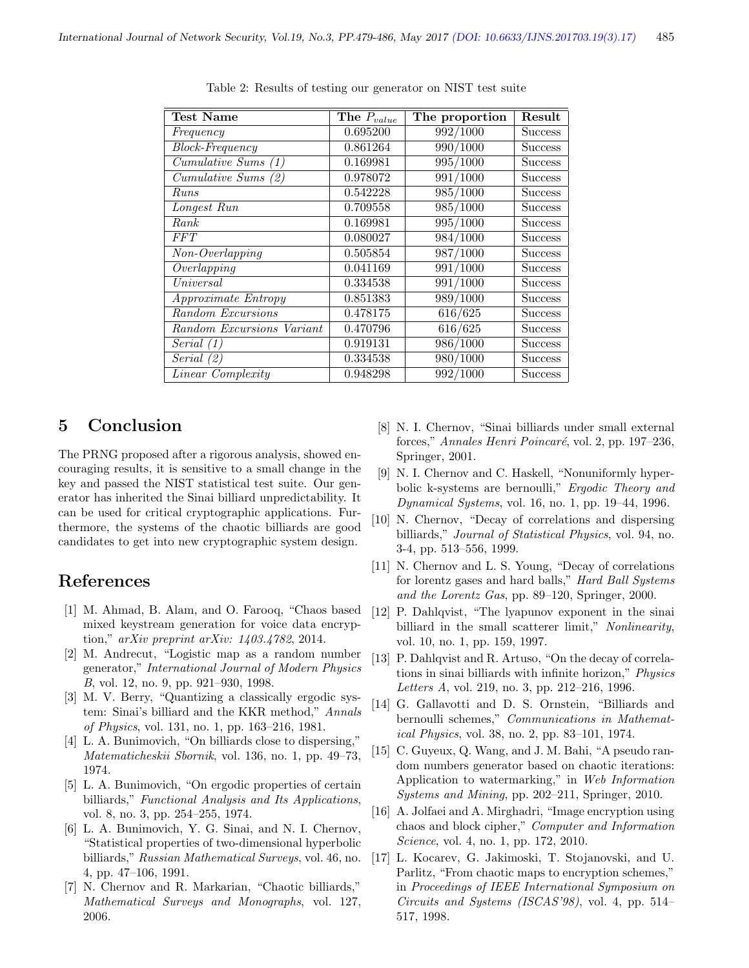| <b>Test Name</b>                             | The $P_{value}$ | The proportion | Result         |
|----------------------------------------------|-----------------|----------------|----------------|
| Frequency                                    | 0.695200        | 992/1000       | <b>Success</b> |
| <b>Block-Frequency</b>                       | 0.861264        | 990/1000       | <b>Success</b> |
| $\overline{Cumulative \, \, Sums \, \, (1)}$ | 0.169981        | 995/1000       | <b>Success</b> |
| $Cumulative\; Sums\; (2)$                    | 0.978072        | 991/1000       | <b>Success</b> |
| Runs                                         | 0.542228        | 985/1000       | <b>Success</b> |
| Longest Run                                  | 0.709558        | 985/1000       | <b>Success</b> |
| Rank                                         | 0.169981        | 995/1000       | <b>Success</b> |
| FFT                                          | 0.080027        | 984/1000       | <b>Success</b> |
| $\overline{Non}$ -Overlapping                | 0.505854        | 987/1000       | <b>Success</b> |
| Overlapping                                  | 0.041169        | 991/1000       | <b>Success</b> |
| Universal                                    | 0.334538        | 991/1000       | <b>Success</b> |
| Approximate Entropy                          | 0.851383        | 989/1000       | <b>Success</b> |
| Random Excursions                            | 0.478175        | 616/625        | <b>Success</b> |
| Random Excursions Variant                    | 0.470796        | 616/625        | <b>Success</b> |
| Serial $(1)$                                 | 0.919131        | 986/1000       | <b>Success</b> |
| Serial $(2)$                                 | 0.334538        | 980/1000       | <b>Success</b> |
| <i>Linear Complexity</i>                     | 0.948298        | 992/1000       | <b>Success</b> |

Table 2: Results of testing our generator on NIST test suite

# 5 Conclusion

The PRNG proposed after a rigorous analysis, showed encouraging results, it is sensitive to a small change in the key and passed the NIST statistical test suite. Our generator has inherited the Sinai billiard unpredictability. It can be used for critical cryptographic applications. Furthermore, the systems of the chaotic billiards are good candidates to get into new cryptographic system design.

## References

- [1] M. Ahmad, B. Alam, and O. Farooq, "Chaos based mixed keystream generation for voice data encryption," arXiv preprint arXiv: 1403.4782, 2014.
- [2] M. Andrecut, "Logistic map as a random number generator," International Journal of Modern Physics B, vol. 12, no. 9, pp. 921–930, 1998.
- [3] M. V. Berry, "Quantizing a classically ergodic system: Sinai's billiard and the KKR method," Annals of Physics, vol. 131, no. 1, pp. 163–216, 1981.
- [4] L. A. Bunimovich, "On billiards close to dispersing," Matematicheskii Sbornik, vol. 136, no. 1, pp. 49–73, 1974.
- [5] L. A. Bunimovich, "On ergodic properties of certain billiards," Functional Analysis and Its Applications, vol. 8, no. 3, pp. 254–255, 1974.
- [6] L. A. Bunimovich, Y. G. Sinai, and N. I. Chernov, "Statistical properties of two-dimensional hyperbolic billiards," Russian Mathematical Surveys, vol. 46, no. 4, pp. 47–106, 1991.
- [7] N. Chernov and R. Markarian, "Chaotic billiards," Mathematical Surveys and Monographs, vol. 127, 2006.
- [8] N. I. Chernov, "Sinai billiards under small external forces," Annales Henri Poincaré, vol. 2, pp. 197–236, Springer, 2001.
- [9] N. I. Chernov and C. Haskell, "Nonuniformly hyperbolic k-systems are bernoulli," Ergodic Theory and Dynamical Systems, vol. 16, no. 1, pp. 19–44, 1996.
- [10] N. Chernov, "Decay of correlations and dispersing billiards," Journal of Statistical Physics, vol. 94, no. 3-4, pp. 513–556, 1999.
- [11] N. Chernov and L. S. Young, "Decay of correlations for lorentz gases and hard balls," Hard Ball Systems and the Lorentz Gas, pp. 89–120, Springer, 2000.
- [12] P. Dahlqvist, "The lyapunov exponent in the sinai billiard in the small scatterer limit," Nonlinearity, vol. 10, no. 1, pp. 159, 1997.
- [13] P. Dahlqvist and R. Artuso, "On the decay of correlations in sinai billiards with infinite horizon," Physics Letters A, vol. 219, no. 3, pp. 212–216, 1996.
- [14] G. Gallavotti and D. S. Ornstein, "Billiards and bernoulli schemes," Communications in Mathematical Physics, vol. 38, no. 2, pp. 83–101, 1974.
- [15] C. Guyeux, Q. Wang, and J. M. Bahi, "A pseudo random numbers generator based on chaotic iterations: Application to watermarking," in Web Information Systems and Mining, pp. 202–211, Springer, 2010.
- [16] A. Jolfaei and A. Mirghadri, "Image encryption using chaos and block cipher," Computer and Information Science, vol. 4, no. 1, pp. 172, 2010.
- [17] L. Kocarev, G. Jakimoski, T. Stojanovski, and U. Parlitz, "From chaotic maps to encryption schemes," in Proceedings of IEEE International Symposium on Circuits and Systems (ISCAS'98), vol. 4, pp. 514– 517, 1998.